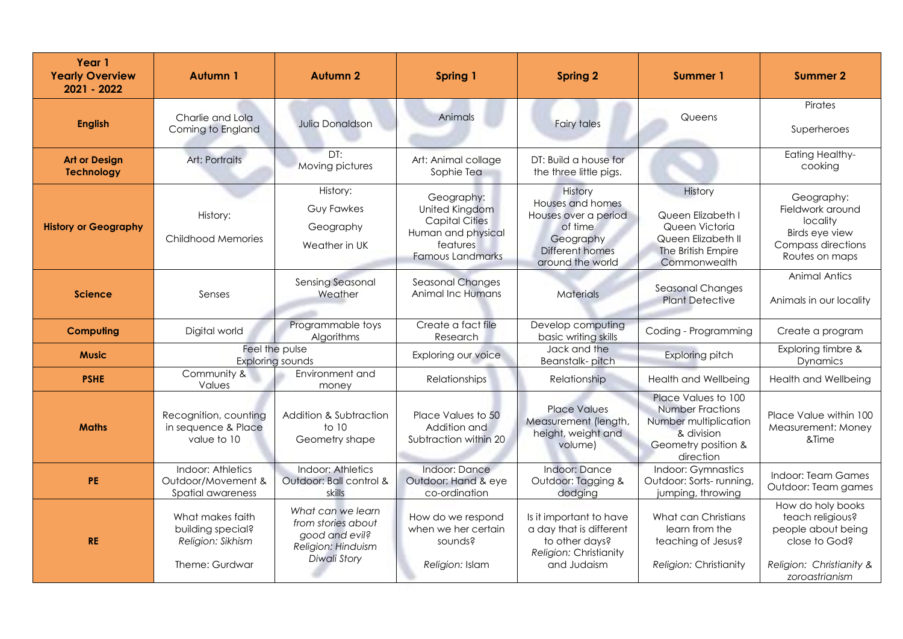| Year 1<br><b>Yearly Overview</b><br>2021 - 2022 | <b>Autumn 1</b>                                                              | <b>Autumn 2</b>                                                                                 | <b>Spring 1</b>                                                                                                    | <b>Spring 2</b>                                                                                                    | <b>Summer 1</b>                                                                                                    | <b>Summer 2</b>                                                                                                            |
|-------------------------------------------------|------------------------------------------------------------------------------|-------------------------------------------------------------------------------------------------|--------------------------------------------------------------------------------------------------------------------|--------------------------------------------------------------------------------------------------------------------|--------------------------------------------------------------------------------------------------------------------|----------------------------------------------------------------------------------------------------------------------------|
| <b>English</b>                                  | Charlie and Lola<br>Coming to England                                        | <b>Julia Donaldson</b>                                                                          | Animals                                                                                                            | <b>Fairy tales</b>                                                                                                 | Queens                                                                                                             | <b>Pirates</b><br>Superheroes                                                                                              |
| <b>Art or Design</b><br><b>Technology</b>       | Art: Portraits                                                               | DT:<br>Moving pictures                                                                          | Art: Animal collage<br>Sophie Tea                                                                                  | DT: Build a house for<br>the three little pigs.                                                                    |                                                                                                                    | Eating Healthy-<br>cooking                                                                                                 |
| <b>History or Geography</b>                     | History:<br>Childhood Memories                                               | History:<br><b>Guy Fawkes</b><br>Geography<br>Weather in UK                                     | Geography:<br>United Kingdom<br><b>Capital Cities</b><br>Human and physical<br>features<br><b>Famous Landmarks</b> | History<br>Houses and homes<br>Houses over a period<br>of time<br>Geography<br>Different homes<br>around the world | History<br>Queen Elizabeth I<br>Queen Victoria<br>Queen Elizabeth II<br>The British Empire<br>Commonwealth         | Geography:<br>Fieldwork around<br>locality<br>Birds eye view<br>Compass directions<br>Routes on maps                       |
| <b>Science</b>                                  | Senses                                                                       | <b>Sensing Seasonal</b><br>Weather                                                              | Seasonal Changes<br>Animal Inc Humans                                                                              | <b>Materials</b>                                                                                                   | Seasonal Changes<br><b>Plant Detective</b>                                                                         | <b>Animal Antics</b><br>Animals in our locality                                                                            |
| Computing                                       | Digital world                                                                | Programmable toys<br>Algorithms                                                                 | Create a fact file<br>Research                                                                                     | Develop computing<br>basic writing skills                                                                          | Coding - Programming                                                                                               | Create a program                                                                                                           |
| <b>Music</b>                                    | Feel the pulse<br>Exploring sounds                                           |                                                                                                 | Exploring our voice                                                                                                | Jack and the<br>Beanstalk-pitch                                                                                    | Exploring pitch                                                                                                    | Exploring timbre &<br>Dynamics                                                                                             |
| <b>PSHE</b>                                     | Community &<br>Values                                                        | Environment and<br>money                                                                        | Relationships                                                                                                      | Relationship                                                                                                       | <b>Health and Wellbeing</b>                                                                                        | <b>Health and Wellbeing</b>                                                                                                |
| <b>Maths</b>                                    | Recognition, counting<br>in sequence & Place<br>value to 10                  | Addition & Subtraction<br>to $10$<br>Geometry shape                                             | Place Values to 50<br>Addition and<br>Subtraction within 20                                                        | <b>Place Values</b><br>Measurement (length,<br>height, weight and<br>volume)                                       | Place Values to 100<br>Number Fractions<br>Number multiplication<br>& division<br>Geometry position &<br>direction | Place Value within 100<br>Measurement: Money<br>&Time                                                                      |
| PE                                              | Indoor: Athletics<br>Outdoor/Movement &<br>Spatial awareness                 | Indoor: Athletics<br>Outdoor: Ball control &<br>skills                                          | Indoor: Dance<br>Outdoor: Hand & eye<br>co-ordination                                                              | Indoor: Dance<br>Outdoor: Tagging &<br>dodging                                                                     | Indoor: Gymnastics<br>Outdoor: Sorts- running<br>jumping, throwing                                                 | Indoor: Team Games<br>Outdoor: Team games                                                                                  |
| <b>RE</b>                                       | What makes faith<br>building special?<br>Religion: Sikhism<br>Theme: Gurdwar | What can we learn<br>from stories about<br>good and evil?<br>Religion: Hinduism<br>Diwali Story | How do we respond<br>when we her certain<br>sounds?<br>Religion: Islam                                             | Is it important to have<br>a day that is different<br>to other days?<br>Religion: Christianity<br>and Judaism      | What can Christians<br>learn from the<br>teaching of Jesus?<br>Religion: Christianity                              | How do holy books<br>teach religious?<br>people about being<br>close to God?<br>Religion: Christianity &<br>zoroastrianism |